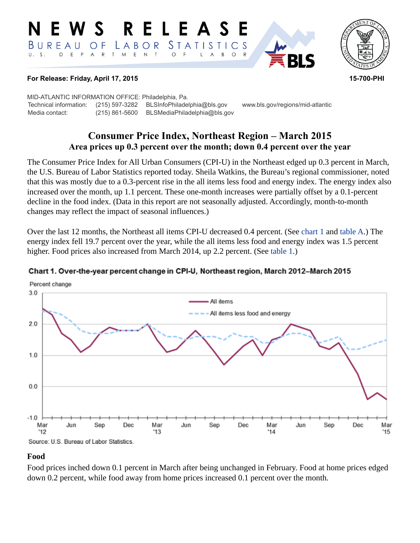#### RELEAS W S *STATISTICS* BUREAU  $\overline{O}$  F LABOR  $T$  $E$  $\top$  $U. S.$ D  $E$  $P$  $\overline{A}$  ${\sf R}$ M  $\mathsf{N}$  $\circ$ B  $\circ$ A



## **For Release: Friday, April 17, 2015 15-700-PHI**

MID-ATLANTIC INFORMATION OFFICE: Philadelphia, Pa. Technical information: (215) 597-3282 BLSInfoPhiladelphia@bls.gov www.bls.gov/regions/mid-atlantic Media contact: (215) 861-5600 BLSMediaPhiladelphia@bls.gov

# **Consumer Price Index, Northeast Region – March 2015 Area prices up 0.3 percent over the month; down 0.4 percent over the year**

The Consumer Price Index for All Urban Consumers (CPI-U) in the Northeast edged up 0.3 percent in March, the U.S. Bureau of Labor Statistics reported today. Sheila Watkins, the Bureau's regional commissioner, noted that this was mostly due to a 0.3-percent rise in the all items less food and energy index. The energy index also increased over the month, up 1.1 percent. These one-month increases were partially offset by a 0.1-percent decline in the food index. (Data in this report are not seasonally adjusted. Accordingly, month-to-month changes may reflect the impact of seasonal influences.)

Over the last 12 months, the Northeast all items CPI-U decreased 0.4 percent. (See [chart 1 a](#page-0-0)nd [table A](#page-1-0).) The energy index fell 19.7 percent over the year, while the all items less food and energy index was 1.5 percent higher. Food prices also increased from March 2014, up 2.2 percent. (See [table 1.](#page-3-0))



## <span id="page-0-0"></span>Chart 1. Over-the-year percent change in CPI-U, Northeast region, March 2012-March 2015

## **Food**

Food prices inched down 0.1 percent in March after being unchanged in February. Food at home prices edged down 0.2 percent, while food away from home prices increased 0.1 percent over the month.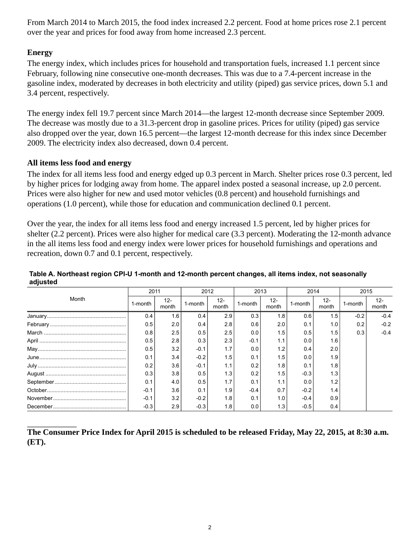From March 2014 to March 2015, the food index increased 2.2 percent. Food at home prices rose 2.1 percent over the year and prices for food away from home increased 2.3 percent.

## **Energy**

The energy index, which includes prices for household and transportation fuels, increased 1.1 percent since February, following nine consecutive one-month decreases. This was due to a 7.4-percent increase in the gasoline index, moderated by decreases in both electricity and utility (piped) gas service prices, down 5.1 and 3.4 percent, respectively.

The energy index fell 19.7 percent since March 2014—the largest 12-month decrease since September 2009. The decrease was mostly due to a 31.3-percent drop in gasoline prices. Prices for utility (piped) gas service also dropped over the year, down 16.5 percent—the largest 12-month decrease for this index since December 2009. The electricity index also decreased, down 0.4 percent.

## **All items less food and energy**

The index for all items less food and energy edged up 0.3 percent in March. Shelter prices rose 0.3 percent, led by higher prices for lodging away from home. The apparel index posted a seasonal increase, up 2.0 percent. Prices were also higher for new and used motor vehicles (0.8 percent) and household furnishings and operations (1.0 percent), while those for education and communication declined 0.1 percent.

Over the year, the index for all items less food and energy increased 1.5 percent, led by higher prices for shelter (2.2 percent). Prices were also higher for medical care (3.3 percent). Moderating the 12-month advance in the all items less food and energy index were lower prices for household furnishings and operations and recreation, down 0.7 and 0.1 percent, respectively.

| Month | 2011    |                 | 2012    |                 | 2013    |                 | 2014    |                 | 2015    |                 |
|-------|---------|-----------------|---------|-----------------|---------|-----------------|---------|-----------------|---------|-----------------|
|       | 1-month | $12 -$<br>month | 1-month | $12 -$<br>month | 1-month | $12 -$<br>month | 1-month | $12 -$<br>month | 1-month | $12 -$<br>month |
|       | 0.4     | 1.6             | 0.4     | 2.9             | 0.3     | 1.8             | 0.6     | 1.5             | $-0.2$  | $-0.4$          |
|       | 0.5     | 2.0             | 0.4     | 2.8             | 0.6     | 2.0             | 0.1     | 1.0             | 0.2     | $-0.2$          |
|       | 0.8     | 2.5             | 0.5     | 2.5             | 0.0     | 1.5             | 0.5     | 1.5             | 0.3     | $-0.4$          |
|       | 0.5     | 2.8             | 0.3     | 2.3             | $-0.1$  | 1.1             | 0.0     | 1.6             |         |                 |
|       | 0.5     | 3.2             | $-0.1$  | 1.7             | 0.0     | 1.2             | 0.4     | 2.0             |         |                 |
|       | 0.1     | 3.4             | $-0.2$  | 1.5             | 0.1     | 1.5             | 0.0     | 1.9             |         |                 |
|       | 0.2     | 3.6             | $-0.1$  | 1.1             | 0.2     | 1.8             | 0.1     | 1.8             |         |                 |
|       | 0.3     | 3.8             | 0.5     | 1.3             | 0.2     | 1.5             | $-0.3$  | 1.3             |         |                 |
|       | 0.1     | 4.0             | 0.5     | 1.7             | 0.1     | 1.1             | 0.0     | 1.2             |         |                 |
|       | $-0.1$  | 3.6             | 0.1     | 1.9             | $-0.4$  | 0.7             | $-0.2$  | 1.4             |         |                 |
|       | $-0.1$  | 3.2             | $-0.2$  | 1.8             | 0.1     | 1.0             | $-0.4$  | 0.9             |         |                 |
|       | $-0.3$  | 2.9             | $-0.3$  | 1.8             | 0.0     | 1.3             | $-0.5$  | 0.4             |         |                 |

## <span id="page-1-0"></span>**Table A. Northeast region CPI-U 1-month and 12-month percent changes, all items index, not seasonally adjusted**

**The Consumer Price Index for April 2015 is scheduled to be released Friday, May 22, 2015, at 8:30 a.m. (ET).**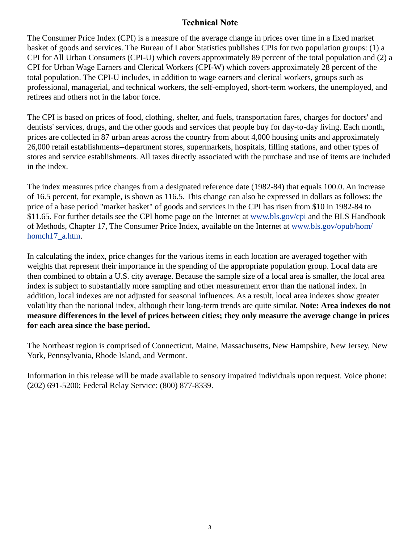# **Technical Note**

The Consumer Price Index (CPI) is a measure of the average change in prices over time in a fixed market basket of goods and services. The Bureau of Labor Statistics publishes CPIs for two population groups: (1) a CPI for All Urban Consumers (CPI-U) which covers approximately 89 percent of the total population and (2) a CPI for Urban Wage Earners and Clerical Workers (CPI-W) which covers approximately 28 percent of the total population. The CPI-U includes, in addition to wage earners and clerical workers, groups such as professional, managerial, and technical workers, the self-employed, short-term workers, the unemployed, and retirees and others not in the labor force.

The CPI is based on prices of food, clothing, shelter, and fuels, transportation fares, charges for doctors' and dentists' services, drugs, and the other goods and services that people buy for day-to-day living. Each month, prices are collected in 87 urban areas across the country from about 4,000 housing units and approximately 26,000 retail establishments--department stores, supermarkets, hospitals, filling stations, and other types of stores and service establishments. All taxes directly associated with the purchase and use of items are included in the index.

The index measures price changes from a designated reference date (1982-84) that equals 100.0. An increase of 16.5 percent, for example, is shown as 116.5. This change can also be expressed in dollars as follows: the price of a base period "market basket" of goods and services in the CPI has risen from \$10 in 1982-84 to \$11.65. For further details see the CPI home page on the Internet at [www.bls.gov/cpi](https://www.bls.gov/cpi) and the BLS Handbook of Methods, Chapter 17, The Consumer Price Index, available on the Internet at [www.bls.gov/opub/hom/](https://www.bls.gov/opub/hom/homch17_a.htm) [homch17\\_a.htm](https://www.bls.gov/opub/hom/homch17_a.htm).

In calculating the index, price changes for the various items in each location are averaged together with weights that represent their importance in the spending of the appropriate population group. Local data are then combined to obtain a U.S. city average. Because the sample size of a local area is smaller, the local area index is subject to substantially more sampling and other measurement error than the national index. In addition, local indexes are not adjusted for seasonal influences. As a result, local area indexes show greater volatility than the national index, although their long-term trends are quite similar. **Note: Area indexes do not measure differences in the level of prices between cities; they only measure the average change in prices for each area since the base period.**

The Northeast region is comprised of Connecticut, Maine, Massachusetts, New Hampshire, New Jersey, New York, Pennsylvania, Rhode Island, and Vermont.

Information in this release will be made available to sensory impaired individuals upon request. Voice phone: (202) 691-5200; Federal Relay Service: (800) 877-8339.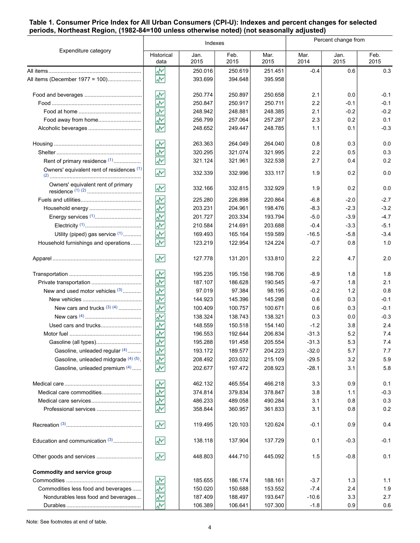### <span id="page-3-0"></span>**Table 1. Consumer Price Index for All Urban Consumers (CPI-U): Indexes and percent changes for selected periods, Northeast Region, (1982-84=100 unless otherwise noted) (not seasonally adjusted)**

|                                            |                          | Indexes      |              | Percent change from |              |              |              |
|--------------------------------------------|--------------------------|--------------|--------------|---------------------|--------------|--------------|--------------|
| Expenditure category                       | Historical<br>data       | Jan.<br>2015 | Feb.<br>2015 | Mar.<br>2015        | Mar.<br>2014 | Jan.<br>2015 | Feb.<br>2015 |
|                                            | W۳                       | 250.016      | 250.619      | 251.451             | $-0.4$       | 0.6          | 0.3          |
| All items (December 1977 = 100)            | $\overline{\mathcal{N}}$ | 393.699      | 394.648      | 395.958             |              |              |              |
|                                            | W۲                       | 250.774      | 250.897      | 250.658             | 2.1          | 0.0          | $-0.1$       |
|                                            | ŵ٨                       | 250.847      | 250.917      | 250.711             | 2.2          | $-0.1$       | $-0.1$       |
|                                            | ₩                        | 248.942      | 248.881      | 248.385             | 2.1          | $-0.2$       | $-0.2$       |
| Food away from home                        | ž                        | 256.799      | 257.064      | 257.287             | 2.3          | 0.2          | 0.1          |
|                                            | $\overline{\mathcal{N}}$ | 248.652      | 249.447      | 248.785             | 1.1          | 0.1          | $-0.3$       |
|                                            | W٨                       | 263.363      | 264.049      | 264.040             | 0.8          | 0.3          | 0.0          |
|                                            | W۲                       | 320.295      | 321.074      | 321.995             | 2.2          | 0.5          | 0.3          |
| Rent of primary residence (1)              | W٨                       | 321.124      | 321.961      | 322.538             | 2.7          | 0.4          | 0.2          |
| Owners' equivalent rent of residences (1)  | W                        | 332.339      | 332.996      | 333.117             | 1.9          | 0.2          | 0.0          |
| Owners' equivalent rent of primary         | $\overline{\mathbf{v}}$  | 332.166      | 332.815      | 332.929             | 1.9          | 0.2          | 0.0          |
|                                            | ۸Y                       | 225.280      | 226.898      | 220.864             | $-6.8$       | $-2.0$       | $-2.7$       |
|                                            | ۸Y                       | 203.231      | 204.961      | 198.476             | $-8.3$       | $-2.3$       | $-3.2$       |
|                                            | ķ                        | 201.727      | 203.334      | 193.794             | $-5.0$       | $-3.9$       | $-4.7$       |
|                                            | $\overline{\mathbf{v}}$  | 210.584      | 214.691      | 203.688             | $-0.4$       | $-3.3$       | $-5.1$       |
| Utility (piped) gas service (1)            | W٨                       | 169.493      | 165.164      | 159.589             | -16.5        | $-5.8$       | $-3.4$       |
| Household furnishings and operations       | W٨                       | 123.219      | 122.954      | 124.224             | $-0.7$       | 0.8          | 1.0          |
|                                            | ž                        | 127.778      | 131.201      | 133.810             | 2.2          | 4.7          | 2.0          |
|                                            | W۳                       | 195.235      | 195.156      | 198.706             | $-8.9$       | 1.8          | 1.8          |
| Private transportation                     | ۸V                       | 187.107      | 186.628      | 190.545             | $-9.7$       | 1.8          | 2.1          |
| New and used motor vehicles $(3)$          | ş                        | 97.019       | 97.384       | 98.195              | $-0.2$       | 1.2          | 0.8          |
|                                            | ķ                        | 144.923      | 145.396      | 145.298             | 0.6          | 0.3          | $-0.1$       |
| New cars and trucks $(3)$ $(4)$            | $\overline{\mathbf{v}}$  | 100.409      | 100.757      | 100.671             | 0.6          | 0.3          | $-0.1$       |
|                                            | W                        | 138.324      | 138.743      | 138.321             | 0.3          | 0.0          | $-0.3$       |
|                                            | ۸V                       | 148.559      | 150.518      | 154.140             | $-1.2$       | 3.8          | 2.4          |
|                                            | ۸V                       | 196.553      | 192.644      | 206.834             | -31.3        | 5.2          | 7.4          |
|                                            | W۲                       | 195.288      | 191.458      | 205.554             | $-31.3$      | 5.3          | 7.4          |
| Gasoline, unleaded regular (4)             | 巡                        | 193.172      | 189.577      | 204.223             | $-32.0$      | 5.7          | 7.7          |
| Gasoline, unleaded midgrade (4) (5)        | ž                        | 208.492      | 203.032      | 215.109             | $-29.5$      | 3.2          | 5.9          |
| Gasoline, unleaded premium (4)             | ž                        | 202.677      | 197.472      | 208.923             | $-28.1$      | 3.1          | 5.8          |
|                                            | ۸Y                       | 462.132      | 465.554      | 466.218             | 3.3          | 0.9          | 0.1          |
| Medical care commodities                   |                          | 374.814      | 379.834      | 378.847             | 3.8          | 1.1          | $-0.3$       |
|                                            | 초초청                      | 486.233      | 489.058      | 490.284             | 3.1          | 0.8          | 0.3          |
| Professional services                      |                          | 358.844      | 360.957      | 361.833             | 3.1          | 0.8          | 0.2          |
|                                            | $\sqrt{2}$               | 119.495      | 120.103      | 120.624             | $-0.1$       | 0.9          | 0.4          |
| Education and communication <sup>(3)</sup> | ۸M                       | 138.118      | 137.904      | 137.729             | 0.1          | $-0.3$       | $-0.1$       |
| Other goods and services                   | $\sqrt{2}$               | 448.803      | 444.710      | 445.092             | 1.5          | $-0.8$       | 0.1          |
| Commodity and service group                |                          |              |              |                     |              |              |              |
|                                            | 坐                        | 185.655      | 186.174      | 188.161             | $-3.7$       | 1.3          | 1.1          |
| Commodities less food and beverages        | ž                        | 150.020      | 150.688      | 153.552             | $-7.4$       | 2.4          | 1.9          |
| Nondurables less food and beverages        | M٢                       | 187.409      | 188.497      | 193.647             | -10.6        | 3.3          | 2.7          |
|                                            | W۲                       | 106.389      | 106.641      | 107.300             | $-1.8$       | 0.9          | 0.6          |

Note: See footnotes at end of table.